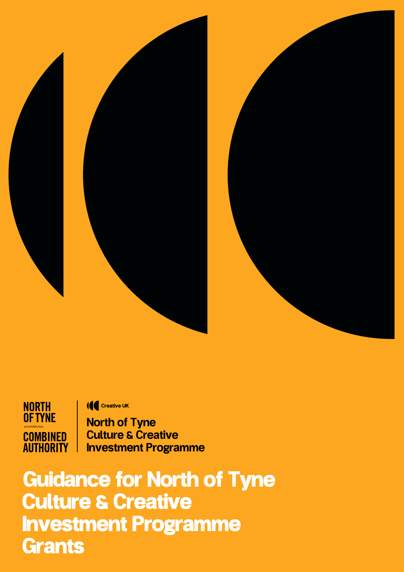

**NORTH<br>OF TYNE COMBINED AUTHORITY** 

**IC** Creative UK

North of Tyne Culture & Creative Investment Programme

Guidance for North of Tyne Culture & Creative Investment Programme **Grants**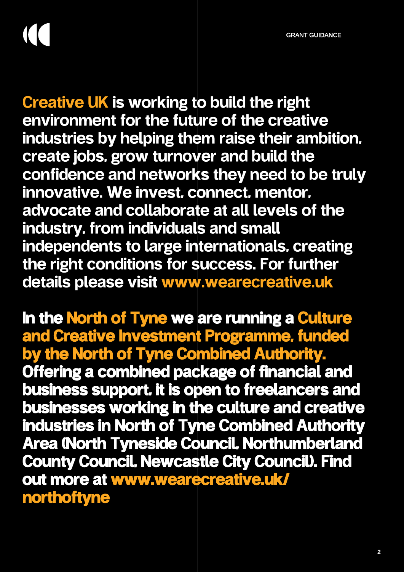GRANT GUIDANCE

Creative UK is working to build the right environment for the future of the creative industries by helping them raise their ambition, create jobs, grow turnover and build the confidence and networks they need to be truly innovative. We invest, connect, mentor, advocate and collaborate at all levels of the industry, from individuals and small independents to large internationals, creating the right conditions for success. For further details please visit<www.wearecreative.uk>

In the North of Tyne we are running a Culture and Creative Investment Programme, funded by the North of Tyne Combined Authority. Offering a combined package of financial and business support, it is open to freelancers and businesses working in the culture and creative industries in North of Tyne Combined Authority Area (North Tyneside Council, Northumberland County Council, Newcastle City Council). Find [out more at www.wearecreative.uk/](www.wearecreative.uk/northoftyne) northoftyne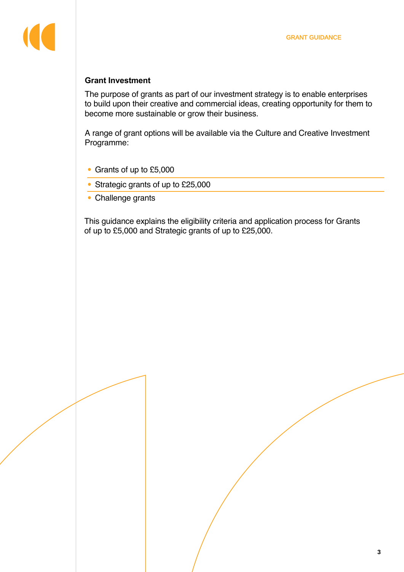#### **Grant Investment**

The purpose of grants as part of our investment strategy is to enable enterprises to build upon their creative and commercial ideas, creating opportunity for them to become more sustainable or grow their business.

A range of grant options will be available via the Culture and Creative Investment Programme:

- Grants of up to £5,000
- Strategic grants of up to £25,000
- [Challenge grants](https://www.wearecreative.uk/northoftyne/north-of-tyne-challenges/)

This guidance explains the eligibility criteria and application process for Grants of up to £5,000 and Strategic grants of up to £25,000.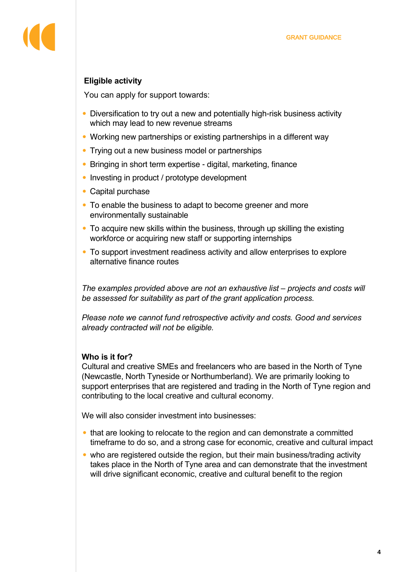# **Eligible activity**

You can apply for support towards:

- Diversification to try out a new and potentially high-risk business activity which may lead to new revenue streams
- Working new partnerships or existing partnerships in a different way
- Trying out a new business model or partnerships
- Bringing in short term expertise digital, marketing, finance
- Investing in product / prototype development
- Capital purchase
- To enable the business to adapt to become greener and more environmentally sustainable
- To acquire new skills within the business, through up skilling the existing workforce or acquiring new staff or supporting internships
- To support investment readiness activity and allow enterprises to explore alternative finance routes

*The examples provided above are not an exhaustive list – projects and costs will be assessed for suitability as part of the grant application process.* 

*Please note we cannot fund retrospective activity and costs. Good and services already contracted will not be eligible.* 

## **Who is it for?**

Cultural and creative SMEs and freelancers who are based in the North of Tyne (Newcastle, North Tyneside or Northumberland). We are primarily looking to support enterprises that are registered and trading in the North of Tyne region and contributing to the local creative and cultural economy.

We will also consider investment into businesses:

- that are looking to relocate to the region and can demonstrate a committed timeframe to do so, and a strong case for economic, creative and cultural impact
- who are registered outside the region, but their main business/trading activity takes place in the North of Tyne area and can demonstrate that the investment will drive significant economic, creative and cultural benefit to the region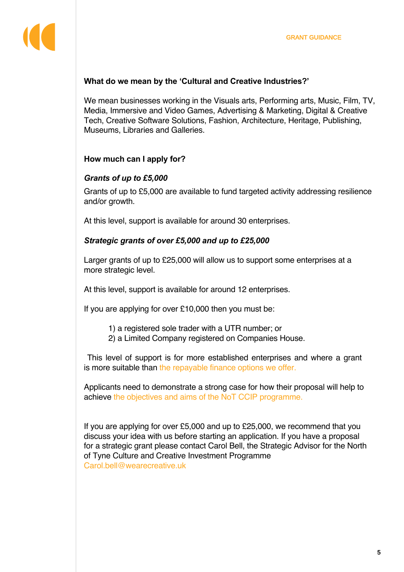#### **What do we mean by the 'Cultural and Creative Industries?'**

We mean businesses working in the Visuals arts, Performing arts, Music, Film, TV, Media, Immersive and Video Games, Advertising & Marketing, Digital & Creative Tech, Creative Software Solutions, Fashion, Architecture, Heritage, Publishing, Museums, Libraries and Galleries.

#### **How much can I apply for?**

#### *Grants of up to £5,000*

Grants of up to £5,000 are available to fund targeted activity addressing resilience and/or growth.

At this level, support is available for around 30 enterprises.

#### *Strategic grants of over £5,000 and up to £25,000*

Larger grants of up to £25,000 will allow us to support some enterprises at a more strategic level.

At this level, support is available for around 12 enterprises.

If you are applying for over £10,000 then you must be:

- 1) a registered sole trader with a UTR number; or
- 2) a Limited Company registered on Companies House.

This level of support is for more established enterprises and where a grant is more suitable th[an the repayable finance options](https://www.wearecreative.uk/northoftyne/north-of-tyne-investment/) we offer.

Applicants need to demonstrate a strong case for how their proposal will help to achieve [the objectives](https://www.wearecreative.uk/northoftyne/wider-aims-of-the-culture-and-creative-investment-programme/) and aims of the NoT CCIP programme.

If you are applying for over £5,000 and up to £25,000, we recommend that you discuss your idea with us before starting an application. If you have a proposal for a strategic grant please contact Carol Bell, the Strategic Advisor for the North of Tyne Culture and Creative Investment Programme <Carol.bell@wearecreative.uk>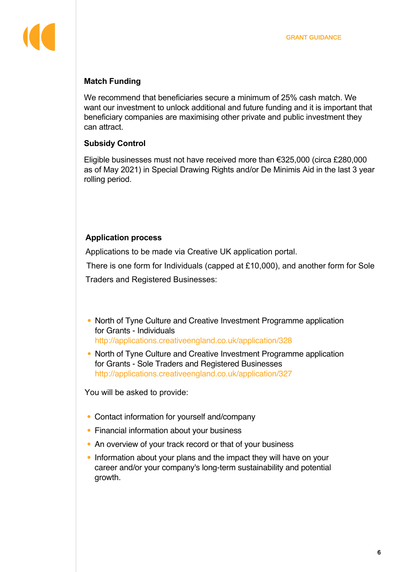# **Match Funding**

We recommend that beneficiaries secure a minimum of 25% cash match. We want our investment to unlock additional and future funding and it is important that beneficiary companies are maximising other private and public investment they can attract.

## **Subsidy Control**

Eligible businesses must not have received more than €325,000 (circa £280,000 as of May 2021) in Special Drawing Rights and/or De Minimis Aid in the last 3 year rolling period.

# **Application process**

Applications to be made via Creative UK application portal.

There is one form for Individuals (capped at £10,000), and another form for Sole

Traders and Registered Businesses:

- North of Tyne Culture and Creative Investment Programme application for Grants - Individuals <http://applications.creativeengland.co.uk/application/328>
- North of Tyne Culture and Creative Investment Programme application for Grants - Sole Traders and Registered Businesses <http://applications.creativeengland.co.uk/application/327>

You will be asked to provide:

- Contact information for yourself and/company
- Financial information about your business
- An overview of your track record or that of your business
- Information about your plans and the impact they will have on your career and/or your company's long-term sustainability and potential growth.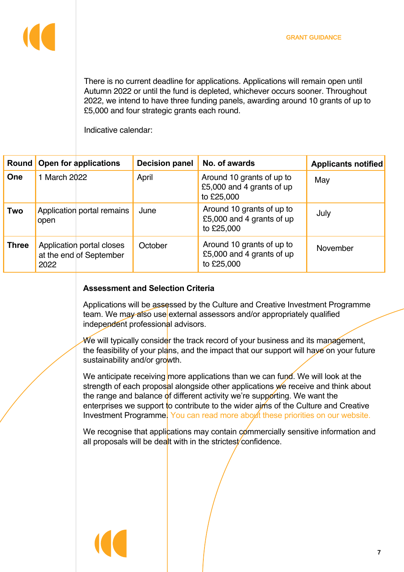

There is no current deadline for applications. Applications will remain open until Autumn 2022 or until the fund is depleted, whichever occurs sooner. Throughout 2022, we intend to have three funding panels, awarding around 10 grants of up to £5,000 and four strategic grants each round.

Indicative calendar:

|              |              | Round   Open for applications                        | <b>Decision panel</b> | No. of awards                                                        | <b>Applicants notified</b> |
|--------------|--------------|------------------------------------------------------|-----------------------|----------------------------------------------------------------------|----------------------------|
| <b>One</b>   | 1 March 2022 |                                                      | April                 | Around 10 grants of up to<br>£5,000 and 4 grants of up<br>to £25,000 | May                        |
| Two          | open         | Application portal remains                           | June                  | Around 10 grants of up to<br>£5,000 and 4 grants of up<br>to £25,000 | July                       |
| <b>Three</b> | 2022         | Application portal closes<br>at the end of September | October               | Around 10 grants of up to<br>£5,000 and 4 grants of up<br>to £25,000 | November                   |

## **Assessment and Selection Criteria**

Applications will be assessed by the Culture and Creative Investment Programme team. We may also use external assessors and/or appropriately qualified independent professional advisors.

We will typically consider the track record of your business and its management, the feasibility of your plans, and the impact that our support will have on your future sustainability and/or growth.

We anticipate receiving more applications than we can fund. We will look at the strength of each proposal alongside other applications we receive and think about the range and balance of different activity we're supporting. We want the enterprises we support to contribute to the wider aims of the Culture and Creative Investment Programme. You can read more about these priorities on our website.

We recognise that applications may contain commercially sensitive information and all proposals will be dealt with in the strictest confidence.